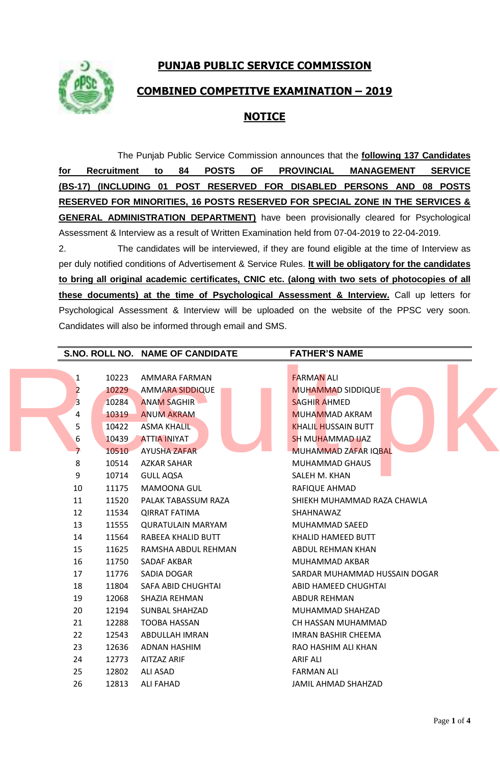**PUNJAB PUBLIC SERVICE COMMISSION**



## **COMBINED COMPETITVE EXAMINATION – 2019**

## **NOTICE**

The Punjab Public Service Commission announces that the **following 137 Candidates for Recruitment to 84 POSTS OF PROVINCIAL MANAGEMENT SERVICE (BS-17) (INCLUDING 01 POST RESERVED FOR DISABLED PERSONS AND 08 POSTS RESERVED FOR MINORITIES, 16 POSTS RESERVED FOR SPECIAL ZONE IN THE SERVICES & GENERAL ADMINISTRATION DEPARTMENT)** have been provisionally cleared for Psychological Assessment & Interview as a result of Written Examination held from 07-04-2019 to 22-04-2019.

2. The candidates will be interviewed, if they are found eligible at the time of Interview as per duly notified conditions of Advertisement & Service Rules. **It will be obligatory for the candidates to bring all original academic certificates, CNIC etc. (along with two sets of photocopies of all these documents) at the time of Psychological Assessment & Interview.** Call up letters for Psychological Assessment & Interview will be uploaded on the website of the PPSC very soon. Candidates will also be informed through email and SMS.

|                |       | S.NO. ROLL NO. NAME OF CANDIDATE | <b>FATHER'S NAME</b>          |
|----------------|-------|----------------------------------|-------------------------------|
|                |       |                                  |                               |
| 1              | 10223 | AMMARA FARMAN                    | <b>FARMAN ALI</b>             |
| $\overline{2}$ | 10229 | <b>AMMARA SIDDIQUE</b>           | <b>MUHAMMAD SIDDIQUE</b>      |
| 3              | 10284 | <b>ANAM SAGHIR</b>               | <b>SAGHIR AHMED</b>           |
| 4              | 10319 | <b>ANUM AKRAM</b>                | <b>MUHAMMAD AKRAM</b>         |
| 5              | 10422 | <b>ASMA KHALIL</b>               | <b>KHALIL HUSSAIN BUTT</b>    |
| 6              | 10439 | <b>ATTIA INIYAT</b>              | <b>SH MUHAMMAD IJAZ</b>       |
| 7 <sup>2</sup> | 10510 | <b>AYUSHA ZAFAR</b>              | MUHAMMAD ZAFAR IQBAL          |
| 8              | 10514 | <b>AZKAR SAHAR</b>               | <b>MUHAMMAD GHAUS</b>         |
| 9              | 10714 | <b>GULL AQSA</b>                 | SALEH M. KHAN                 |
| 10             | 11175 | <b>MAMOONA GUL</b>               | RAFIQUE AHMAD                 |
| 11             | 11520 | PALAK TABASSUM RAZA              | SHIEKH MUHAMMAD RAZA CHAWLA   |
| 12             | 11534 | <b>QIRRAT FATIMA</b>             | SHAHNAWAZ                     |
| 13             | 11555 | <b>QURATULAIN MARYAM</b>         | MUHAMMAD SAEED                |
| 14             | 11564 | RABEEA KHALID BUTT               | KHALID HAMEED BUTT            |
| 15             | 11625 | RAMSHA ABDUL REHMAN              | ABDUL REHMAN KHAN             |
| 16             | 11750 | SADAF AKBAR                      | MUHAMMAD AKBAR                |
| 17             | 11776 | SADIA DOGAR                      | SARDAR MUHAMMAD HUSSAIN DOGAR |
| 18             | 11804 | SAFA ABID CHUGHTAI               | ABID HAMEED CHUGHTAI          |
| 19             | 12068 | SHAZIA REHMAN                    | ABDUR REHMAN                  |
| 20             | 12194 | <b>SUNBAL SHAHZAD</b>            | MUHAMMAD SHAHZAD              |
| 21             | 12288 | TOOBA HASSAN                     | CH HASSAN MUHAMMAD            |
| 22             | 12543 | ABDULLAH IMRAN                   | <b>IMRAN BASHIR CHEEMA</b>    |
| 23             | 12636 | ADNAN HASHIM                     | RAO HASHIM ALI KHAN           |
| 24             | 12773 | <b>AITZAZ ARIF</b>               | <b>ARIF ALI</b>               |
| 25             | 12802 | <b>ALI ASAD</b>                  | <b>FARMAN ALI</b>             |
| 26             | 12813 | <b>ALI FAHAD</b>                 | <b>JAMIL AHMAD SHAHZAD</b>    |
|                |       |                                  |                               |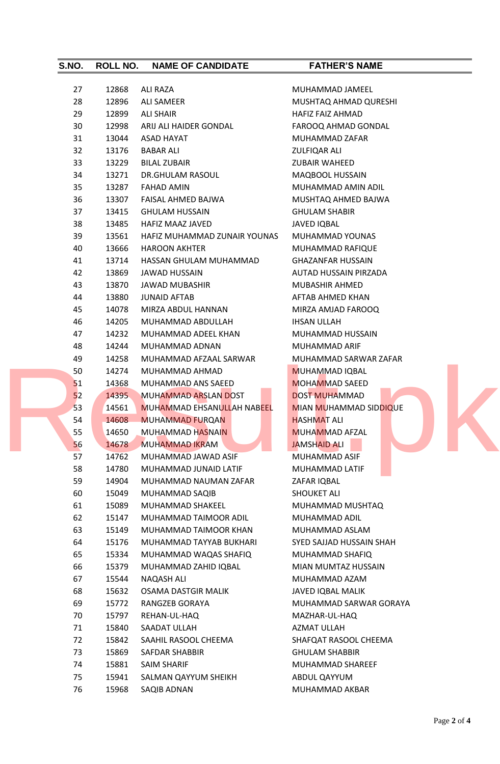| S.NO. | <b>ROLL NO.</b> | <b>NAME OF CANDIDATE</b>          | <b>FATHER'S NAME</b>          |
|-------|-----------------|-----------------------------------|-------------------------------|
| 27    | 12868           | <b>ALI RAZA</b>                   | MUHAMMAD JAMEEL               |
| 28    | 12896           | <b>ALI SAMEER</b>                 | MUSHTAQ AHMAD QURESHI         |
| 29    | 12899           | ALI SHAIR                         | HAFIZ FAIZ AHMAD              |
| 30    | 12998           | ARIJ ALI HAIDER GONDAL            | FAROOQ AHMAD GONDAL           |
| 31    | 13044           | ASAD HAYAT                        | MUHAMMAD ZAFAR                |
| 32    | 13176           | <b>BABAR ALI</b>                  | <b>ZULFIQAR ALI</b>           |
| 33    | 13229           | <b>BILAL ZUBAIR</b>               | <b>ZUBAIR WAHEED</b>          |
| 34    | 13271           | DR.GHULAM RASOUL                  | MAQBOOL HUSSAIN               |
| 35    | 13287           | <b>FAHAD AMIN</b>                 | MUHAMMAD AMIN ADIL            |
| 36    | 13307           | FAISAL AHMED BAJWA                | MUSHTAQ AHMED BAJWA           |
| 37    | 13415           | <b>GHULAM HUSSAIN</b>             | <b>GHULAM SHABIR</b>          |
| 38    | 13485           | HAFIZ MAAZ JAVED                  | <b>JAVED IQBAL</b>            |
| 39    | 13561           | HAFIZ MUHAMMAD ZUNAIR YOUNAS      | MUHAMMAD YOUNAS               |
| 40    | 13666           | <b>HAROON AKHTER</b>              | MUHAMMAD RAFIQUE              |
| 41    | 13714           | HASSAN GHULAM MUHAMMAD            | <b>GHAZANFAR HUSSAIN</b>      |
| 42    | 13869           | <b>JAWAD HUSSAIN</b>              | AUTAD HUSSAIN PIRZADA         |
| 43    | 13870           | JAWAD MUBASHIR                    | MUBASHIR AHMED                |
| 44    | 13880           | <b>JUNAID AFTAB</b>               | AFTAB AHMED KHAN              |
| 45    | 14078           | MIRZA ABDUL HANNAN                | MIRZA AMJAD FAROOQ            |
| 46    | 14205           | MUHAMMAD ABDULLAH                 | <b>IHSAN ULLAH</b>            |
| 47    | 14232           | MUHAMMAD ADEEL KHAN               | MUHAMMAD HUSSAIN              |
| 48    | 14244           | MUHAMMAD ADNAN                    | MUHAMMAD ARIF                 |
| 49    | 14258           | MUHAMMAD AFZAAL SARWAR            | MUHAMMAD SARWAR ZAFAR         |
| 50    | 14274           | MUHAMMAD AHMAD                    | <b>MUHAMMAD IQBAL</b>         |
| 51    | 14368           | MUHAMMAD ANS SAEED                | <b>MOHAMMAD SAEED</b>         |
| 52    | 14395           | <b>MUHAMMAD ARSLAN DOST</b>       | <b>DOST MUHAMMAD</b>          |
| 53    | 14561           | <b>MUHAMMAD EHSANULLAH NABEEL</b> | <b>MIAN MUHAMMAD SIDDIQUE</b> |
| 54    | 14608           | MUHAMMAD FURQAN                   | <b>HASHMAT ALI</b>            |
| 55    | 14650           | <b>MUHAMMAD HASNAIN</b>           | <b>MUHAMMAD AFZAL</b>         |
|       | 14678           |                                   | <b>JAMSHAID ALI</b>           |
| 56    |                 | <b>MUHAMMAD IKRAM</b>             |                               |
| 57    | 14762           | MUHAMMAD JAWAD ASIF               | MUHAMMAD ASIF                 |
| 58    | 14780           | MUHAMMAD JUNAID LATIF             | MUHAMMAD LATIF                |
| 59    | 14904           | MUHAMMAD NAUMAN ZAFAR             | ZAFAR IQBAL                   |
| 60    | 15049           | MUHAMMAD SAQIB                    | <b>SHOUKET ALI</b>            |
| 61    | 15089           | MUHAMMAD SHAKEEL                  | MUHAMMAD MUSHTAQ              |
| 62    | 15147           | MUHAMMAD TAIMOOR ADIL             | MUHAMMAD ADIL                 |
| 63    | 15149           | MUHAMMAD TAIMOOR KHAN             | MUHAMMAD ASLAM                |
| 64    | 15176           | MUHAMMAD TAYYAB BUKHARI           | SYED SAJJAD HUSSAIN SHAH      |
| 65    | 15334           | MUHAMMAD WAQAS SHAFIQ             | MUHAMMAD SHAFIQ               |
| 66    | 15379           | MUHAMMAD ZAHID IQBAL              | MIAN MUMTAZ HUSSAIN           |
| 67    | 15544           | NAQASH ALI                        | MUHAMMAD AZAM                 |
| 68    | 15632           | OSAMA DASTGIR MALIK               | <b>JAVED IQBAL MALIK</b>      |
| 69    | 15772           | RANGZEB GORAYA                    | MUHAMMAD SARWAR GORAYA        |
| 70    | 15797           | REHAN-UL-HAQ                      | MAZHAR-UL-HAQ                 |
| 71    | 15840           | SAADAT ULLAH                      | AZMAT ULLAH                   |
| 72    | 15842           | SAAHIL RASOOL CHEEMA              | SHAFQAT RASOOL CHEEMA         |
| 73    | 15869           | SAFDAR SHABBIR                    | <b>GHULAM SHABBIR</b>         |
| 74    | 15881           | SAIM SHARIF                       | MUHAMMAD SHAREEF              |
| 75    | 15941           | SALMAN QAYYUM SHEIKH              | ABDUL QAYYUM                  |
| 76    | 15968           | SAQIB ADNAN                       | MUHAMMAD AKBAR                |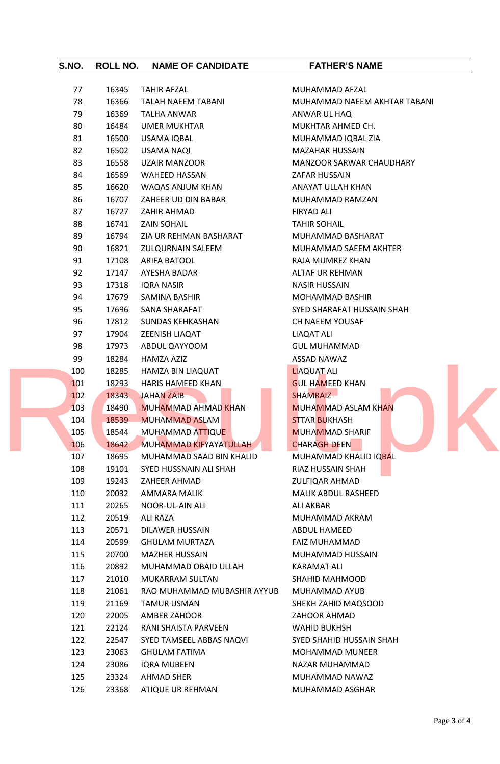| S.NO. | ROLL NO. | <b>NAME OF CANDIDATE</b>    | <b>FATHER'S NAME</b>            |
|-------|----------|-----------------------------|---------------------------------|
| 77    | 16345    | <b>TAHIR AFZAL</b>          | MUHAMMAD AFZAL                  |
| 78    | 16366    | <b>TALAH NAEEM TABANI</b>   | MUHAMMAD NAEEM AKHTAR TABANI    |
| 79    | 16369    | <b>TALHA ANWAR</b>          | ANWAR UL HAQ                    |
| 80    | 16484    | UMER MUKHTAR                | MUKHTAR AHMED CH.               |
| 81    | 16500    | USAMA IQBAL                 | MUHAMMAD IQBAL ZIA              |
| 82    | 16502    | <b>USAMA NAQI</b>           | <b>MAZAHAR HUSSAIN</b>          |
| 83    | 16558    | <b>UZAIR MANZOOR</b>        | <b>MANZOOR SARWAR CHAUDHARY</b> |
| 84    | 16569    | <b>WAHEED HASSAN</b>        | ZAFAR HUSSAIN                   |
| 85    | 16620    | WAQAS ANJUM KHAN            | ANAYAT ULLAH KHAN               |
| 86    | 16707    | ZAHEER UD DIN BABAR         | MUHAMMAD RAMZAN                 |
| 87    | 16727    | ZAHIR AHMAD                 | FIRYAD ALI                      |
| 88    | 16741    | <b>ZAIN SOHAIL</b>          | <b>TAHIR SOHAIL</b>             |
| 89    | 16794    | ZIA UR REHMAN BASHARAT      | MUHAMMAD BASHARAT               |
| 90    | 16821    | <b>ZULQURNAIN SALEEM</b>    | MUHAMMAD SAEEM AKHTER           |
| 91    | 17108    | <b>ARIFA BATOOL</b>         | RAJA MUMREZ KHAN                |
| 92    | 17147    | AYESHA BADAR                | ALTAF UR REHMAN                 |
| 93    | 17318    | <b>IQRA NASIR</b>           | <b>NASIR HUSSAIN</b>            |
| 94    |          |                             |                                 |
|       | 17679    | SAMINA BASHIR               | MOHAMMAD BASHIR                 |
| 95    | 17696    | SANA SHARAFAT               | SYED SHARAFAT HUSSAIN SHAH      |
| 96    | 17812    | <b>SUNDAS KEHKASHAN</b>     | CH NAEEM YOUSAF                 |
| 97    | 17904    | ZEENISH LIAQAT              | LIAQAT ALI                      |
| 98    | 17973    | ABDUL QAYYOOM               | <b>GUL MUHAMMAD</b>             |
| 99    | 18284    | HAMZA AZIZ                  | ASSAD NAWAZ                     |
| 100   | 18285    | HAMZA BIN LIAQUAT           | <b>LIAQUAT ALI</b>              |
| 101   | 18293    | <b>HARIS HAMEED KHAN</b>    | <b>GUL HAMEED KHAN</b>          |
| 102   | 18343    | <b>JAHAN ZAIB</b>           | <b>SHAMRAIZ</b>                 |
| 103   | 18490    | <b>MUHAMMAD AHMAD KHAN</b>  | <b>MUHAMMAD ASLAM KHAN</b>      |
| 104   | 18539    | <b>MUHAMMAD ASLAM</b>       | <b>STTAR BUKHASH</b>            |
| 105   | 18544    | <b>MUHAMMAD ATTIQUE</b>     | <b>MUHAMMAD SHARIF</b>          |
| 106   | 18642    | MUHAMMAD KIFYAYATULLAH      | <b>CHARAGH DEEN</b>             |
| 107   | 18695    | MUHAMMAD SAAD BIN KHALID    | MUHAMMAD KHALID IQBAL           |
| 108   | 19101    | SYED HUSSNAIN ALI SHAH      | RIAZ HUSSAIN SHAH               |
| 109   | 19243    | ZAHEER AHMAD                | <b>ZULFIQAR AHMAD</b>           |
| 110   | 20032    | AMMARA MALIK                | <b>MALIK ABDUL RASHEED</b>      |
| 111   | 20265    | NOOR-UL-AIN ALI             | ALI AKBAR                       |
| 112   | 20519    | ALI RAZA                    | MUHAMMAD AKRAM                  |
| 113   | 20571    | DILAWER HUSSAIN             | ABDUL HAMEED                    |
| 114   | 20599    | <b>GHULAM MURTAZA</b>       | <b>FAIZ MUHAMMAD</b>            |
| 115   | 20700    | <b>MAZHER HUSSAIN</b>       | MUHAMMAD HUSSAIN                |
| 116   | 20892    | MUHAMMAD OBAID ULLAH        | KARAMAT ALI                     |
| 117   | 21010    | MUKARRAM SULTAN             | SHAHID MAHMOOD                  |
| 118   | 21061    | RAO MUHAMMAD MUBASHIR AYYUB | MUHAMMAD AYUB                   |
| 119   | 21169    | <b>TAMUR USMAN</b>          | SHEKH ZAHID MAQSOOD             |
| 120   | 22005    | AMBER ZAHOOR                | ZAHOOR AHMAD                    |
| 121   | 22124    | RANI SHAISTA PARVEEN        | <b>WAHID BUKHSH</b>             |
| 122   | 22547    | SYED TAMSEEL ABBAS NAQVI    | SYED SHAHID HUSSAIN SHAH        |
| 123   | 23063    | <b>GHULAM FATIMA</b>        | <b>MOHAMMAD MUNEER</b>          |
| 124   | 23086    | IQRA MUBEEN                 | NAZAR MUHAMMAD                  |
| 125   | 23324    | AHMAD SHER                  | MUHAMMAD NAWAZ                  |
| 126   | 23368    | ATIQUE UR REHMAN            | MUHAMMAD ASGHAR                 |
|       |          |                             |                                 |